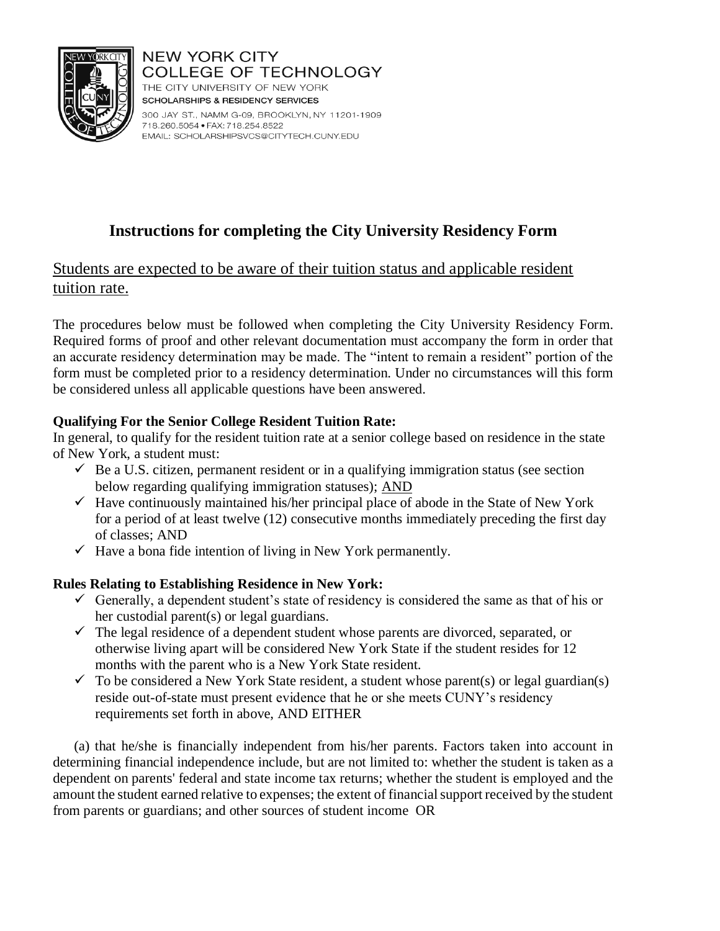

**NEW YORK CITY COLLEGE OF TECHNOLOGY** THE CITY UNIVERSITY OF NEW YORK **SCHOLARSHIPS & RESIDENCY SERVICES** 

300 JAY ST., NAMM G-09, BROOKLYN, NY 11201-1909 718.260.5054 · FAX: 718.254.8522 EMAIL: SCHOLARSHIPSVCS@CITYTECH.CUNY.EDU

# **Instructions for completing the City University Residency Form**

## Students are expected to be aware of their tuition status and applicable resident tuition rate.

The procedures below must be followed when completing the City University Residency Form. Required forms of proof and other relevant documentation must accompany the form in order that an accurate residency determination may be made. The "intent to remain a resident" portion of the form must be completed prior to a residency determination. Under no circumstances will this form be considered unless all applicable questions have been answered.

## **Qualifying For the Senior College Resident Tuition Rate:**

In general, to qualify for the resident tuition rate at a senior college based on residence in the state of New York, a student must:

- $\checkmark$  Be a U.S. citizen, permanent resident or in a qualifying immigration status (see section below regarding qualifying immigration statuses); AND
- $\checkmark$  Have continuously maintained his/her principal place of abode in the State of New York for a period of at least twelve (12) consecutive months immediately preceding the first day of classes; AND
- $\checkmark$  Have a bona fide intention of living in New York permanently.

## **Rules Relating to Establishing Residence in New York:**

- $\checkmark$  Generally, a dependent student's state of residency is considered the same as that of his or her custodial parent(s) or legal guardians.
- $\checkmark$  The legal residence of a dependent student whose parents are divorced, separated, or otherwise living apart will be considered New York State if the student resides for 12 months with the parent who is a New York State resident.
- $\checkmark$  To be considered a New York State resident, a student whose parent(s) or legal guardian(s) reside out-of-state must present evidence that he or she meets CUNY's residency requirements set forth in above, AND EITHER

(a) that he/she is financially independent from his/her parents. Factors taken into account in determining financial independence include, but are not limited to: whether the student is taken as a dependent on parents' federal and state income tax returns; whether the student is employed and the amount the student earned relative to expenses; the extent of financial support received by the student from parents or guardians; and other sources of student income OR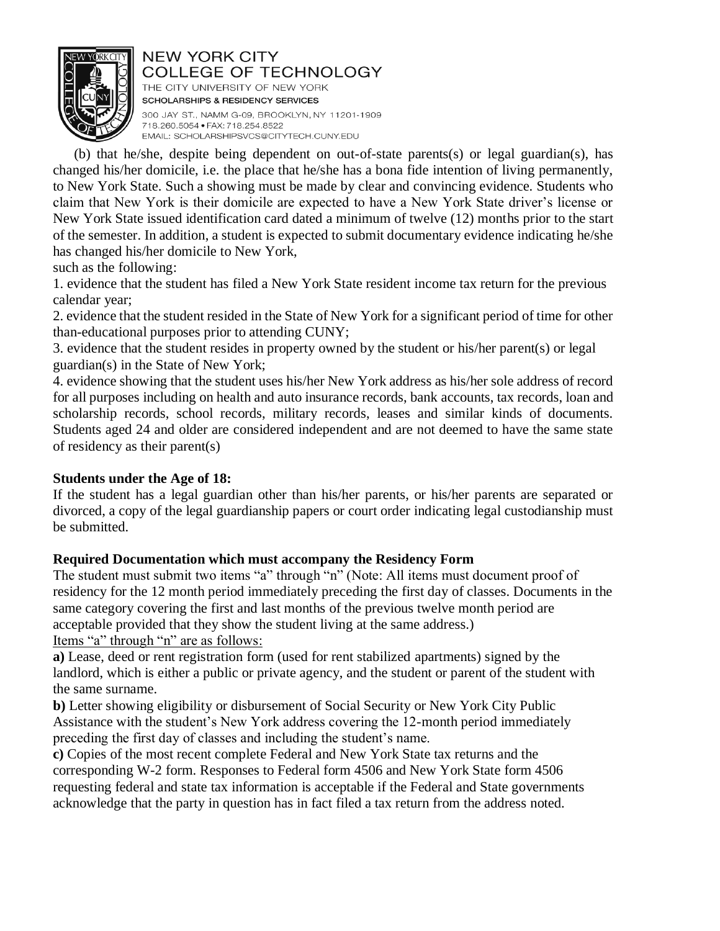

THE CITY UNIVERSITY OF NEW YORK **SCHOLARSHIPS & RESIDENCY SERVICES** 300 JAY ST., NAMM G-09, BROOKLYN, NY 11201-1909 718.260.5054 · FAX: 718.254.8522 EMAIL: SCHOLARSHIPSVCS@CITYTECH.CUNY.EDU

(b) that he/she, despite being dependent on out-of-state parents(s) or legal guardian(s), has changed his/her domicile, i.e. the place that he/she has a bona fide intention of living permanently, to New York State. Such a showing must be made by clear and convincing evidence. Students who claim that New York is their domicile are expected to have a New York State driver's license or New York State issued identification card dated a minimum of twelve (12) months prior to the start of the semester. In addition, a student is expected to submit documentary evidence indicating he/she has changed his/her domicile to New York,

such as the following:

1. evidence that the student has filed a New York State resident income tax return for the previous calendar year;

2. evidence that the student resided in the State of New York for a significant period of time for other than-educational purposes prior to attending CUNY;

3. evidence that the student resides in property owned by the student or his/her parent(s) or legal guardian(s) in the State of New York;

4. evidence showing that the student uses his/her New York address as his/her sole address of record for all purposes including on health and auto insurance records, bank accounts, tax records, loan and scholarship records, school records, military records, leases and similar kinds of documents. Students aged 24 and older are considered independent and are not deemed to have the same state of residency as their parent(s)

#### **Students under the Age of 18:**

If the student has a legal guardian other than his/her parents, or his/her parents are separated or divorced, a copy of the legal guardianship papers or court order indicating legal custodianship must be submitted.

## **Required Documentation which must accompany the Residency Form**

The student must submit two items "a" through "n" (Note: All items must document proof of residency for the 12 month period immediately preceding the first day of classes. Documents in the same category covering the first and last months of the previous twelve month period are acceptable provided that they show the student living at the same address.) Items "a" through "n" are as follows:

**a)** Lease, deed or rent registration form (used for rent stabilized apartments) signed by the landlord, which is either a public or private agency, and the student or parent of the student with the same surname.

**b)** Letter showing eligibility or disbursement of Social Security or New York City Public Assistance with the student's New York address covering the 12-month period immediately preceding the first day of classes and including the student's name.

**c)** Copies of the most recent complete Federal and New York State tax returns and the corresponding W-2 form. Responses to Federal form 4506 and New York State form 4506 requesting federal and state tax information is acceptable if the Federal and State governments acknowledge that the party in question has in fact filed a tax return from the address noted.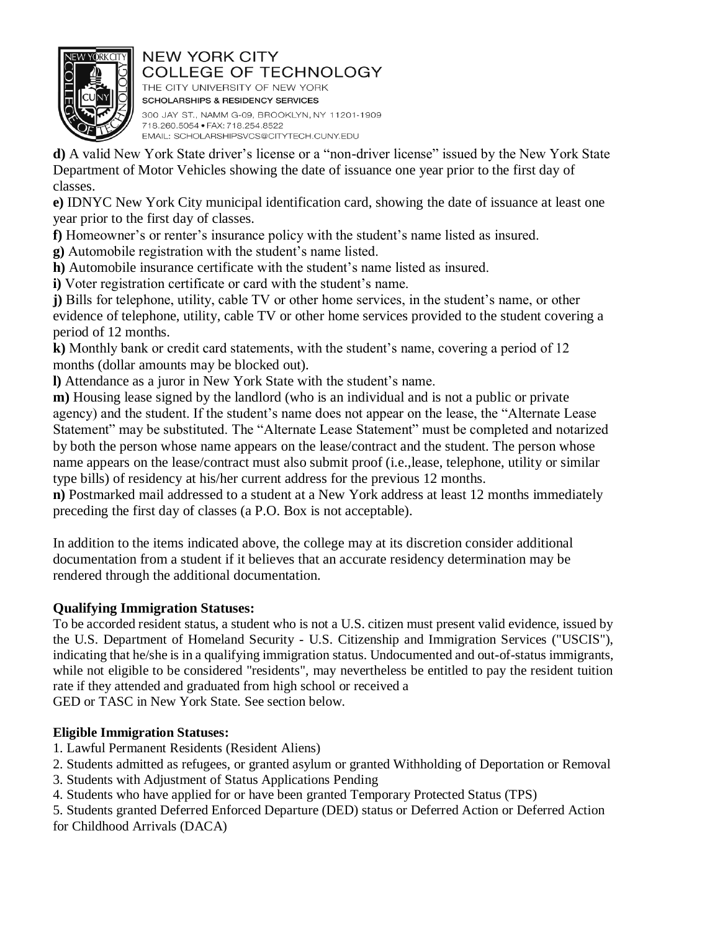

THE CITY UNIVERSITY OF NEW YORK **SCHOLARSHIPS & RESIDENCY SERVICES** 300 JAY ST., NAMM G-09, BROOKLYN, NY 11201-1909 718.260.5054 · FAX: 718.254.8522 EMAIL: SCHOLARSHIPSVCS@CITYTECH.CUNY.EDU

**d)** A valid New York State driver's license or a "non-driver license" issued by the New York State Department of Motor Vehicles showing the date of issuance one year prior to the first day of classes.

**e)** IDNYC New York City municipal identification card, showing the date of issuance at least one year prior to the first day of classes.

**f)** Homeowner's or renter's insurance policy with the student's name listed as insured.

**g)** Automobile registration with the student's name listed.

**h)** Automobile insurance certificate with the student's name listed as insured.

**i)** Voter registration certificate or card with the student's name.

**j)** Bills for telephone, utility, cable TV or other home services, in the student's name, or other evidence of telephone, utility, cable TV or other home services provided to the student covering a period of 12 months.

**k)** Monthly bank or credit card statements, with the student's name, covering a period of 12 months (dollar amounts may be blocked out).

**l)** Attendance as a juror in New York State with the student's name.

**m)** Housing lease signed by the landlord (who is an individual and is not a public or private agency) and the student. If the student's name does not appear on the lease, the "Alternate Lease Statement" may be substituted. The "Alternate Lease Statement" must be completed and notarized by both the person whose name appears on the lease/contract and the student. The person whose name appears on the lease/contract must also submit proof (i.e.,lease, telephone, utility or similar type bills) of residency at his/her current address for the previous 12 months.

**n)** Postmarked mail addressed to a student at a New York address at least 12 months immediately preceding the first day of classes (a P.O. Box is not acceptable).

In addition to the items indicated above, the college may at its discretion consider additional documentation from a student if it believes that an accurate residency determination may be rendered through the additional documentation.

## **Qualifying Immigration Statuses:**

To be accorded resident status, a student who is not a U.S. citizen must present valid evidence, issued by the U.S. Department of Homeland Security - U.S. Citizenship and Immigration Services ("USCIS"), indicating that he/she is in a qualifying immigration status. Undocumented and out-of-status immigrants, while not eligible to be considered "residents", may nevertheless be entitled to pay the resident tuition rate if they attended and graduated from high school or received a

GED or TASC in New York State. See section below.

## **Eligible Immigration Statuses:**

- 1. Lawful Permanent Residents (Resident Aliens)
- 2. Students admitted as refugees, or granted asylum or granted Withholding of Deportation or Removal
- 3. Students with Adjustment of Status Applications Pending
- 4. Students who have applied for or have been granted Temporary Protected Status (TPS)

5. Students granted Deferred Enforced Departure (DED) status or Deferred Action or Deferred Action for Childhood Arrivals (DACA)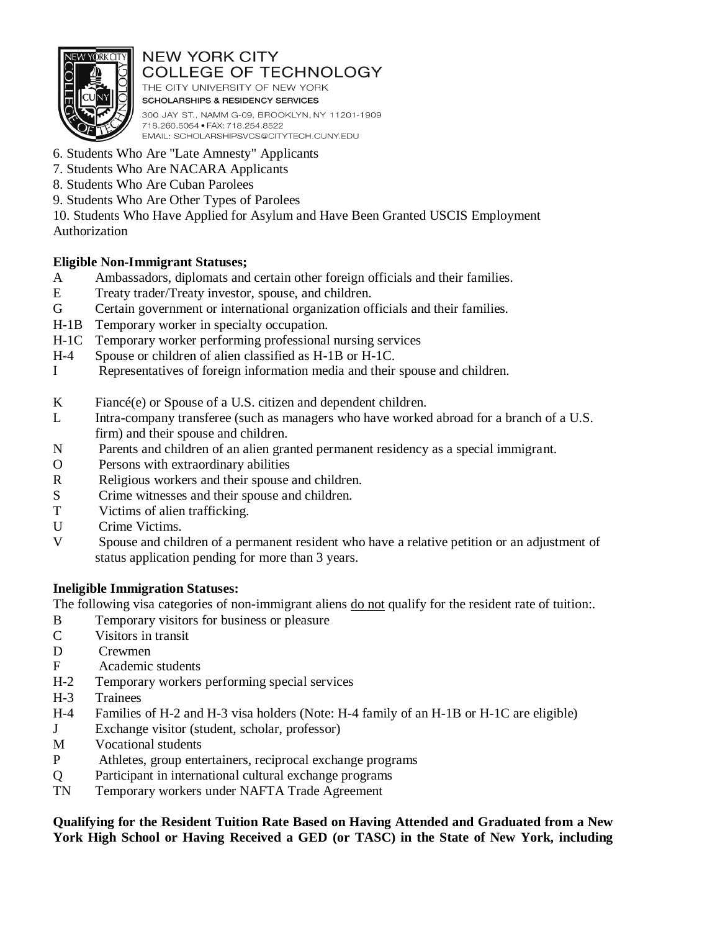

THE CITY UNIVERSITY OF NEW YORK **SCHOLARSHIPS & RESIDENCY SERVICES** 300 JAY ST., NAMM G-09, BROOKLYN, NY 11201-1909 718.260.5054 · FAX: 718.254.8522 EMAIL: SCHOLARSHIPSVCS@CITYTECH.CUNY.EDU

- 6. Students Who Are "Late Amnesty" Applicants
- 7. Students Who Are NACARA Applicants
- 8. Students Who Are Cuban Parolees
- 9. Students Who Are Other Types of Parolees

10. Students Who Have Applied for Asylum and Have Been Granted USCIS Employment Authorization

## **Eligible Non-Immigrant Statuses;**

- A Ambassadors, diplomats and certain other foreign officials and their families.
- E Treaty trader/Treaty investor, spouse, and children.
- G Certain government or international organization officials and their families.
- H-1B Temporary worker in specialty occupation.
- H-1C Temporary worker performing professional nursing services
- H-4 Spouse or children of alien classified as H-1B or H-1C.
- I Representatives of foreign information media and their spouse and children.
- K Fiancé(e) or Spouse of a U.S. citizen and dependent children.
- L Intra-company transferee (such as managers who have worked abroad for a branch of a U.S. firm) and their spouse and children.
- N Parents and children of an alien granted permanent residency as a special immigrant.
- O Persons with extraordinary abilities
- R Religious workers and their spouse and children.
- S Crime witnesses and their spouse and children.
- T Victims of alien trafficking.
- U Crime Victims.
- V Spouse and children of a permanent resident who have a relative petition or an adjustment of status application pending for more than 3 years.

## **Ineligible Immigration Statuses:**

The following visa categories of non-immigrant aliens do not qualify for the resident rate of tuition:.

- B Temporary visitors for business or pleasure
- C Visitors in transit
- D Crewmen
- F Academic students
- H-2 Temporary workers performing special services
- H-3 Trainees
- H-4 Families of H-2 and H-3 visa holders (Note: H-4 family of an H-1B or H-1C are eligible)
- J Exchange visitor (student, scholar, professor)
- M Vocational students
- P Athletes, group entertainers, reciprocal exchange programs
- Q Participant in international cultural exchange programs
- TN Temporary workers under NAFTA Trade Agreement

#### **Qualifying for the Resident Tuition Rate Based on Having Attended and Graduated from a New York High School or Having Received a GED (or TASC) in the State of New York, including**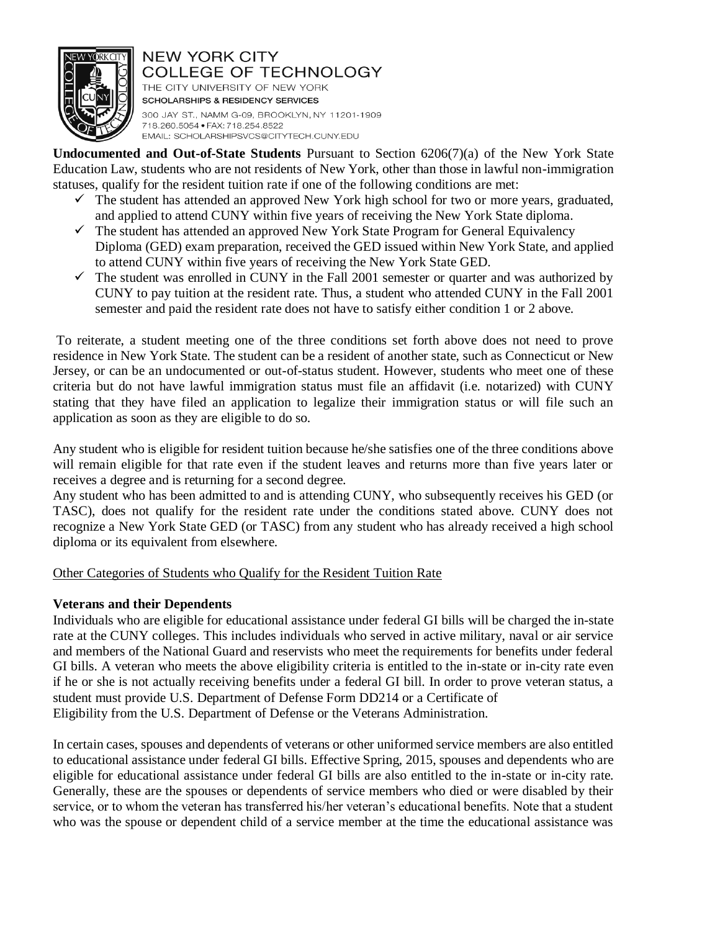

THE CITY UNIVERSITY OF NEW YORK **SCHOLARSHIPS & RESIDENCY SERVICES** 300 JAY ST., NAMM G-09, BROOKLYN, NY 11201-1909 718.260.5054 · FAX: 718.254.8522 EMAIL: SCHOLARSHIPSVCS@CITYTECH.CUNY.EDU

**Undocumented and Out-of-State Students** Pursuant to Section 6206(7)(a) of the New York State Education Law, students who are not residents of New York, other than those in lawful non-immigration statuses, qualify for the resident tuition rate if one of the following conditions are met:

- $\checkmark$  The student has attended an approved New York high school for two or more years, graduated, and applied to attend CUNY within five years of receiving the New York State diploma.
- $\checkmark$  The student has attended an approved New York State Program for General Equivalency Diploma (GED) exam preparation, received the GED issued within New York State, and applied to attend CUNY within five years of receiving the New York State GED.
- $\checkmark$  The student was enrolled in CUNY in the Fall 2001 semester or quarter and was authorized by CUNY to pay tuition at the resident rate. Thus, a student who attended CUNY in the Fall 2001 semester and paid the resident rate does not have to satisfy either condition 1 or 2 above.

To reiterate, a student meeting one of the three conditions set forth above does not need to prove residence in New York State. The student can be a resident of another state, such as Connecticut or New Jersey, or can be an undocumented or out-of-status student. However, students who meet one of these criteria but do not have lawful immigration status must file an affidavit (i.e. notarized) with CUNY stating that they have filed an application to legalize their immigration status or will file such an application as soon as they are eligible to do so.

Any student who is eligible for resident tuition because he/she satisfies one of the three conditions above will remain eligible for that rate even if the student leaves and returns more than five years later or receives a degree and is returning for a second degree.

Any student who has been admitted to and is attending CUNY, who subsequently receives his GED (or TASC), does not qualify for the resident rate under the conditions stated above. CUNY does not recognize a New York State GED (or TASC) from any student who has already received a high school diploma or its equivalent from elsewhere.

#### Other Categories of Students who Qualify for the Resident Tuition Rate

#### **Veterans and their Dependents**

Individuals who are eligible for educational assistance under federal GI bills will be charged the in-state rate at the CUNY colleges. This includes individuals who served in active military, naval or air service and members of the National Guard and reservists who meet the requirements for benefits under federal GI bills. A veteran who meets the above eligibility criteria is entitled to the in-state or in-city rate even if he or she is not actually receiving benefits under a federal GI bill. In order to prove veteran status, a student must provide U.S. Department of Defense Form DD214 or a Certificate of Eligibility from the U.S. Department of Defense or the Veterans Administration.

In certain cases, spouses and dependents of veterans or other uniformed service members are also entitled to educational assistance under federal GI bills. Effective Spring, 2015, spouses and dependents who are eligible for educational assistance under federal GI bills are also entitled to the in-state or in-city rate. Generally, these are the spouses or dependents of service members who died or were disabled by their service, or to whom the veteran has transferred his/her veteran's educational benefits. Note that a student who was the spouse or dependent child of a service member at the time the educational assistance was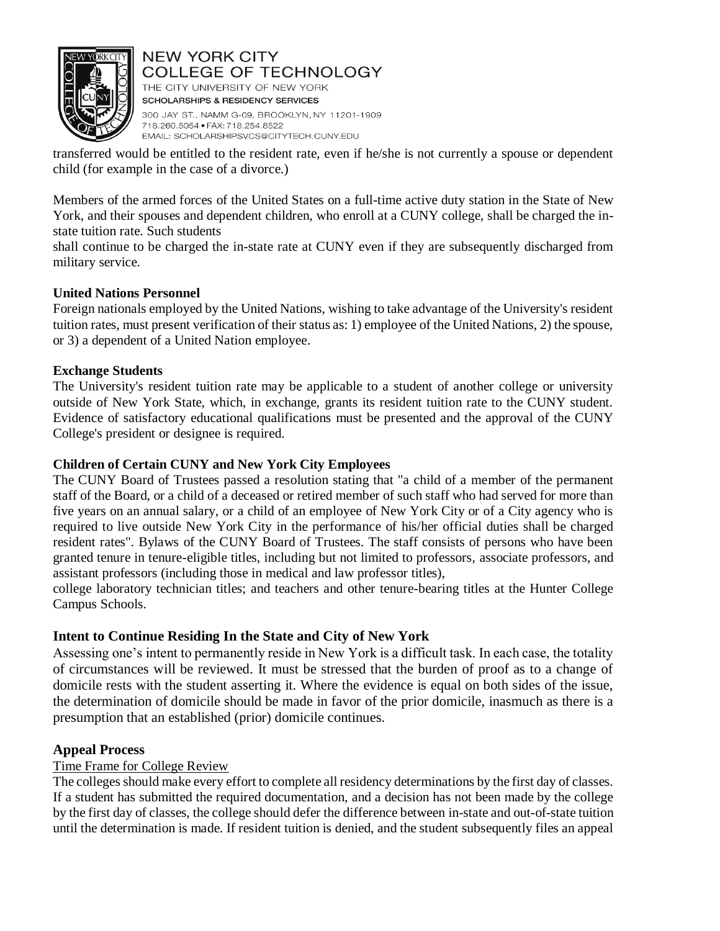

THE CITY UNIVERSITY OF NEW YORK **SCHOLARSHIPS & RESIDENCY SERVICES** 300 JAY ST., NAMM G-09, BROOKLYN, NY 11201-1909 718.260.5054 · FAX: 718.254.8522 EMAIL: SCHOLARSHIPSVCS@CITYTECH.CUNY.EDU

transferred would be entitled to the resident rate, even if he/she is not currently a spouse or dependent child (for example in the case of a divorce.)

Members of the armed forces of the United States on a full-time active duty station in the State of New York, and their spouses and dependent children, who enroll at a CUNY college, shall be charged the instate tuition rate. Such students

shall continue to be charged the in-state rate at CUNY even if they are subsequently discharged from military service.

#### **United Nations Personnel**

Foreign nationals employed by the United Nations, wishing to take advantage of the University's resident tuition rates, must present verification of their status as: 1) employee of the United Nations, 2) the spouse, or 3) a dependent of a United Nation employee.

#### **Exchange Students**

The University's resident tuition rate may be applicable to a student of another college or university outside of New York State, which, in exchange, grants its resident tuition rate to the CUNY student. Evidence of satisfactory educational qualifications must be presented and the approval of the CUNY College's president or designee is required.

#### **Children of Certain CUNY and New York City Employees**

The CUNY Board of Trustees passed a resolution stating that "a child of a member of the permanent staff of the Board, or a child of a deceased or retired member of such staff who had served for more than five years on an annual salary, or a child of an employee of New York City or of a City agency who is required to live outside New York City in the performance of his/her official duties shall be charged resident rates". Bylaws of the CUNY Board of Trustees. The staff consists of persons who have been granted tenure in tenure-eligible titles, including but not limited to professors, associate professors, and assistant professors (including those in medical and law professor titles),

college laboratory technician titles; and teachers and other tenure-bearing titles at the Hunter College Campus Schools.

#### **Intent to Continue Residing In the State and City of New York**

Assessing one's intent to permanently reside in New York is a difficult task. In each case, the totality of circumstances will be reviewed. It must be stressed that the burden of proof as to a change of domicile rests with the student asserting it. Where the evidence is equal on both sides of the issue, the determination of domicile should be made in favor of the prior domicile, inasmuch as there is a presumption that an established (prior) domicile continues.

#### **Appeal Process**

#### Time Frame for College Review

The colleges should make every effort to complete all residency determinations by the first day of classes. If a student has submitted the required documentation, and a decision has not been made by the college by the first day of classes, the college should defer the difference between in-state and out-of-state tuition until the determination is made. If resident tuition is denied, and the student subsequently files an appeal